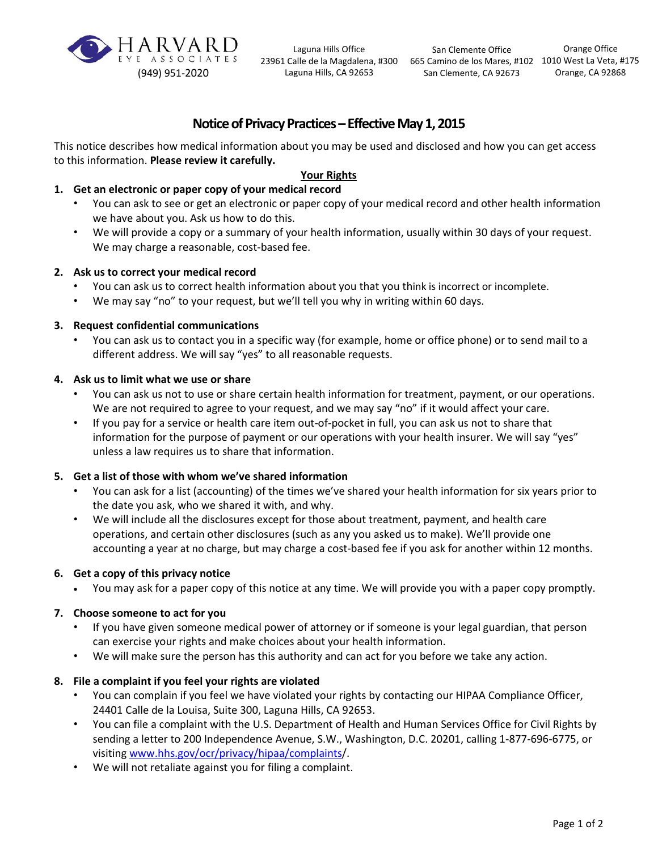

Laguna Hills Office Laguna Hills, CA 92653

23961 Calle de la Magdalena, #300 665 Camino de los Mares, #102 1010 West La Veta, #175 San Clemente Office San Clemente, CA 92673

Orange Office Orange, CA 92868

# **Notice of Privacy Practices – Effective May 1, 2015**

 This notice describes how medical information about you may be used and disclosed and how you can get access to this information. **Please review it carefully.** 

# **Your Rights**

# **1. Get an electronic or paper copy of your medical record**

- we have about you. Ask us how to do this. • You can ask to see or get an electronic or paper copy of your medical record and other health information
- We may charge a reasonable, cost-based fee. • We will provide a copy or a summary of your health information, usually within 30 days of your request.

### **2. Ask us to correct your medical record**

- You can ask us to correct health information about you that you think is incorrect or incomplete.
- We may say "no" to your request, but we'll tell you why in writing within 60 days.

### **3. Request confidential communications**

 different address. We will say "yes" to all reasonable requests. • You can ask us to contact you in a specific way (for example, home or office phone) or to send mail to a

#### **4. Ask us to limit what we use or share**

- You can ask us not to use or share certain health information for treatment, payment, or our operations. We are not required to agree to your request, and we may say "no" if it would affect your care.
- • If you pay for a service or health care item out-of-pocket in full, you can ask us not to share that information for the purpose of payment or our operations with your health insurer. We will say "yes" unless a law requires us to share that information.

# **5. Get a list of those with whom we've shared information**

- You can ask for a list (accounting) of the times we've shared your health information for six years prior to the date you ask, who we shared it with, and why.
- accounting a year at no charge, but may charge a cost-based fee if you ask for another within 12 months. • We will include all the disclosures except for those about treatment, payment, and health care operations, and certain other disclosures (such as any you asked us to make). We'll provide one

#### **6. Get a copy of this privacy notice**

• You may ask for a paper copy of this notice at any time. We will provide you with a paper copy promptly.

#### **7. Choose someone to act for you**

- If you have given someone medical power of attorney or if someone is your legal guardian, that person can exercise your rights and make choices about your health information.
- We will make sure the person has this authority and can act for you before we take any action.

### **8. File a complaint if you feel your rights are violated**

- You can complain if you feel we have violated your rights by contacting our HIPAA Compliance Officer, 24401 Calle de la Louisa, Suite 300, Laguna Hills, CA 92653.
- • You can file a complaint with the U.S. Department of Health and Human Services Office for Civil Rights by sending a letter to 200 Independence Avenue, S.W., Washington, D.C. 20201, calling 1-877-696-6775, or visiting [www.hhs.gov/ocr/privacy/hipaa/complaints/](http://www.hhs.gov/ocr/privacy/hipaa/complaints).
- We will not retaliate against you for filing a complaint.